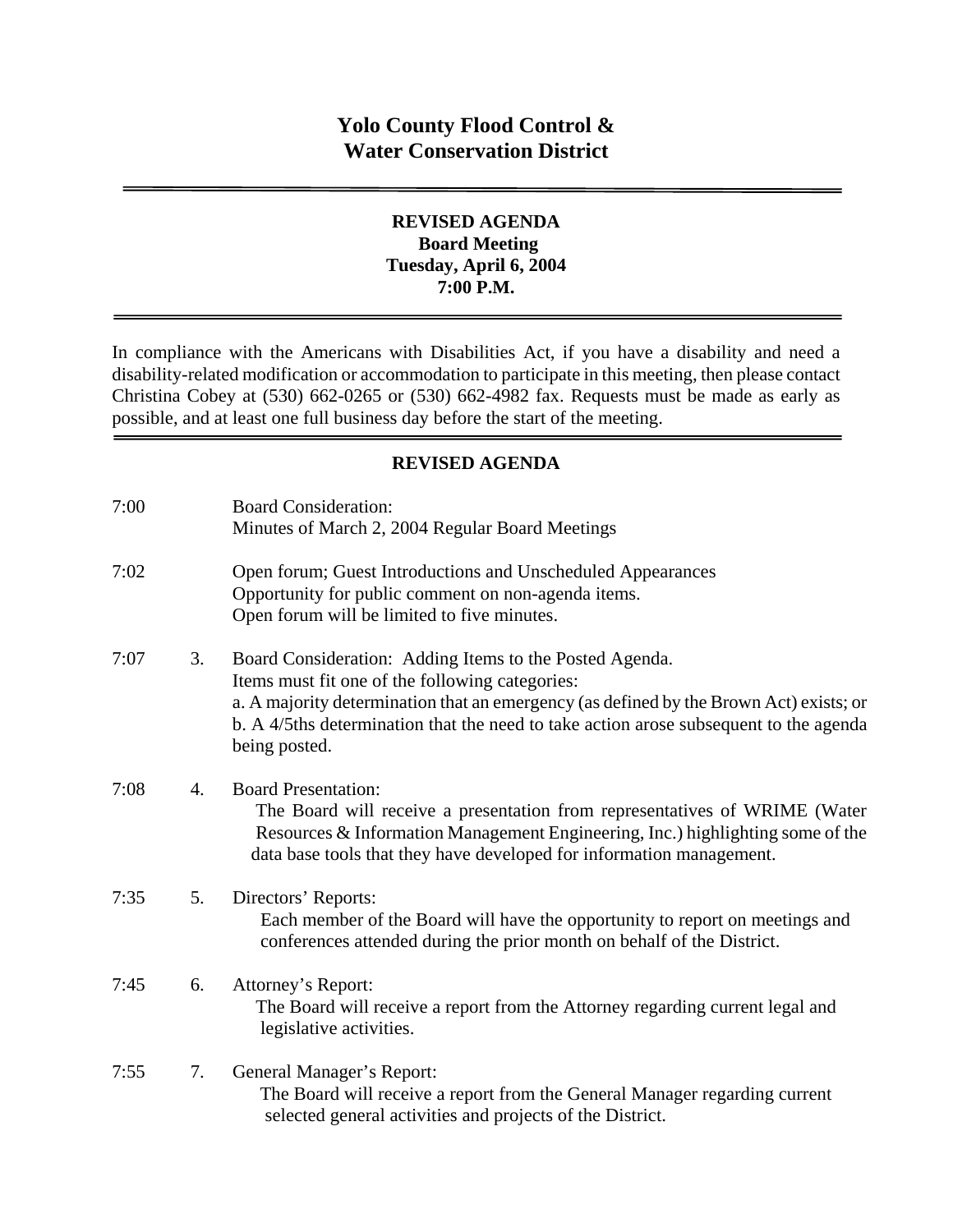# **REVISED AGENDA Board Meeting Tuesday, April 6, 2004 7:00 P.M.**

In compliance with the Americans with Disabilities Act, if you have a disability and need a disability-related modification or accommodation to participate in this meeting, then please contact Christina Cobey at (530) 662-0265 or (530) 662-4982 fax. Requests must be made as early as possible, and at least one full business day before the start of the meeting.

# **REVISED AGENDA**

| 7:00 |                  | <b>Board Consideration:</b><br>Minutes of March 2, 2004 Regular Board Meetings                                                                                                                                                                                                                                 |
|------|------------------|----------------------------------------------------------------------------------------------------------------------------------------------------------------------------------------------------------------------------------------------------------------------------------------------------------------|
| 7:02 |                  | Open forum; Guest Introductions and Unscheduled Appearances<br>Opportunity for public comment on non-agenda items.<br>Open forum will be limited to five minutes.                                                                                                                                              |
| 7:07 | 3.               | Board Consideration: Adding Items to the Posted Agenda.<br>Items must fit one of the following categories:<br>a. A majority determination that an emergency (as defined by the Brown Act) exists; or<br>b. A 4/5ths determination that the need to take action arose subsequent to the agenda<br>being posted. |
| 7:08 | $\overline{4}$ . | <b>Board Presentation:</b><br>The Board will receive a presentation from representatives of WRIME (Water<br>Resources & Information Management Engineering, Inc.) highlighting some of the<br>data base tools that they have developed for information management.                                             |
| 7:35 | 5.               | Directors' Reports:<br>Each member of the Board will have the opportunity to report on meetings and<br>conferences attended during the prior month on behalf of the District.                                                                                                                                  |
| 7:45 | 6.               | Attorney's Report:<br>The Board will receive a report from the Attorney regarding current legal and<br>legislative activities.                                                                                                                                                                                 |
| 7:55 | 7.               | General Manager's Report:<br>The Board will receive a report from the General Manager regarding current<br>selected general activities and projects of the District.                                                                                                                                           |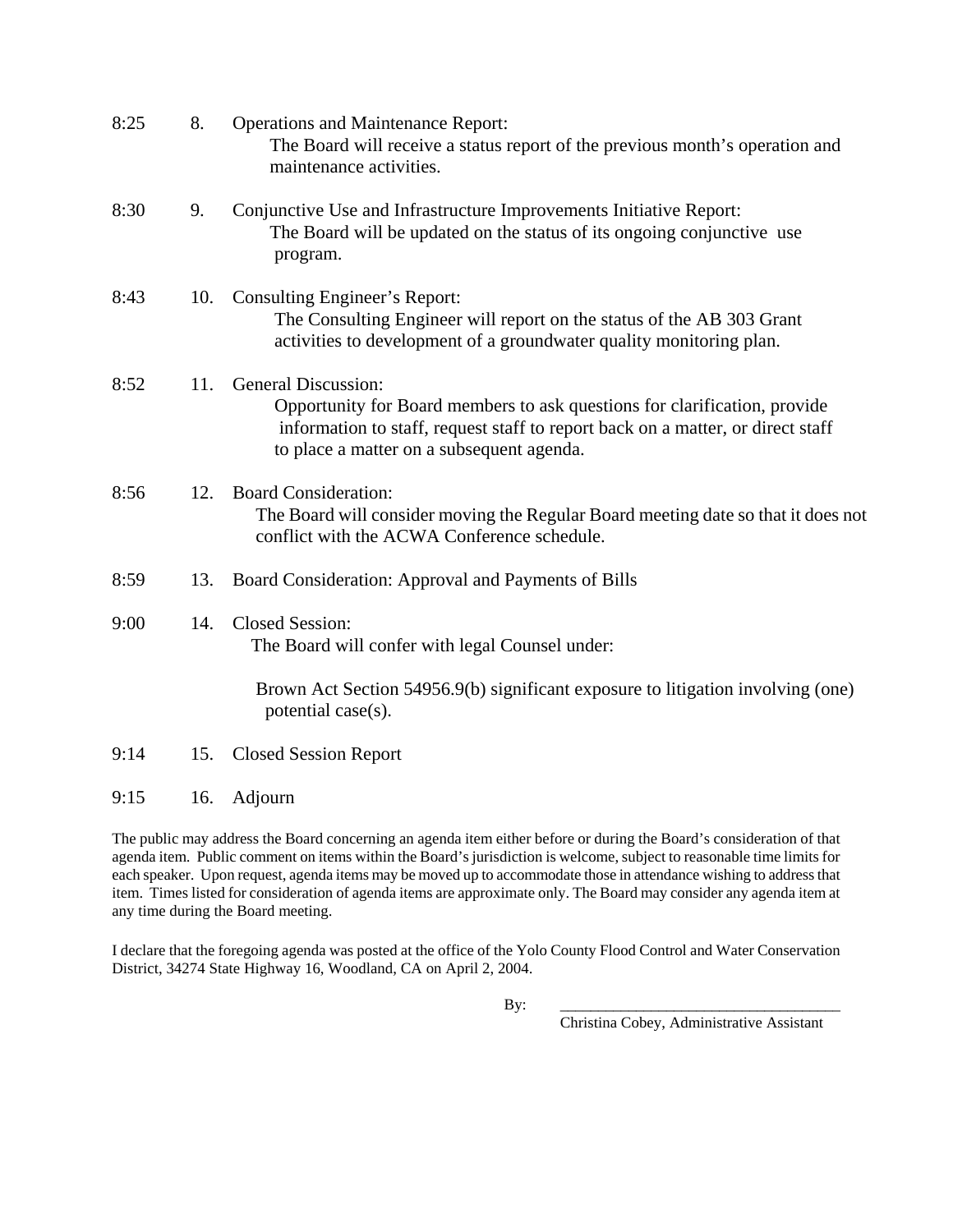| 8:25 | 8.  | <b>Operations and Maintenance Report:</b><br>The Board will receive a status report of the previous month's operation and<br>maintenance activities.                                                                                    |
|------|-----|-----------------------------------------------------------------------------------------------------------------------------------------------------------------------------------------------------------------------------------------|
| 8:30 | 9.  | Conjunctive Use and Infrastructure Improvements Initiative Report:<br>The Board will be updated on the status of its ongoing conjunctive use<br>program.                                                                                |
| 8:43 | 10. | Consulting Engineer's Report:<br>The Consulting Engineer will report on the status of the AB 303 Grant<br>activities to development of a groundwater quality monitoring plan.                                                           |
| 8:52 | 11. | <b>General Discussion:</b><br>Opportunity for Board members to ask questions for clarification, provide<br>information to staff, request staff to report back on a matter, or direct staff<br>to place a matter on a subsequent agenda. |
| 8:56 | 12. | <b>Board Consideration:</b><br>The Board will consider moving the Regular Board meeting date so that it does not<br>conflict with the ACWA Conference schedule.                                                                         |
| 8:59 | 13. | Board Consideration: Approval and Payments of Bills                                                                                                                                                                                     |
| 9:00 | 14. | <b>Closed Session:</b><br>The Board will confer with legal Counsel under:                                                                                                                                                               |
|      |     | Brown Act Section 54956.9(b) significant exposure to litigation involving (one)<br>potential case(s).                                                                                                                                   |
| 9:14 | 15. | <b>Closed Session Report</b>                                                                                                                                                                                                            |
| 9:15 | 16. | Adjourn                                                                                                                                                                                                                                 |

The public may address the Board concerning an agenda item either before or during the Board's consideration of that agenda item. Public comment on items within the Board's jurisdiction is welcome, subject to reasonable time limits for each speaker. Upon request, agenda items may be moved up to accommodate those in attendance wishing to address that item. Times listed for consideration of agenda items are approximate only. The Board may consider any agenda item at any time during the Board meeting.

I declare that the foregoing agenda was posted at the office of the Yolo County Flood Control and Water Conservation District, 34274 State Highway 16, Woodland, CA on April 2, 2004.

By: \_\_\_\_\_\_\_\_\_\_\_\_\_\_\_\_\_\_\_\_\_\_\_\_\_\_\_\_\_\_\_\_\_\_\_\_\_

Christina Cobey, Administrative Assistant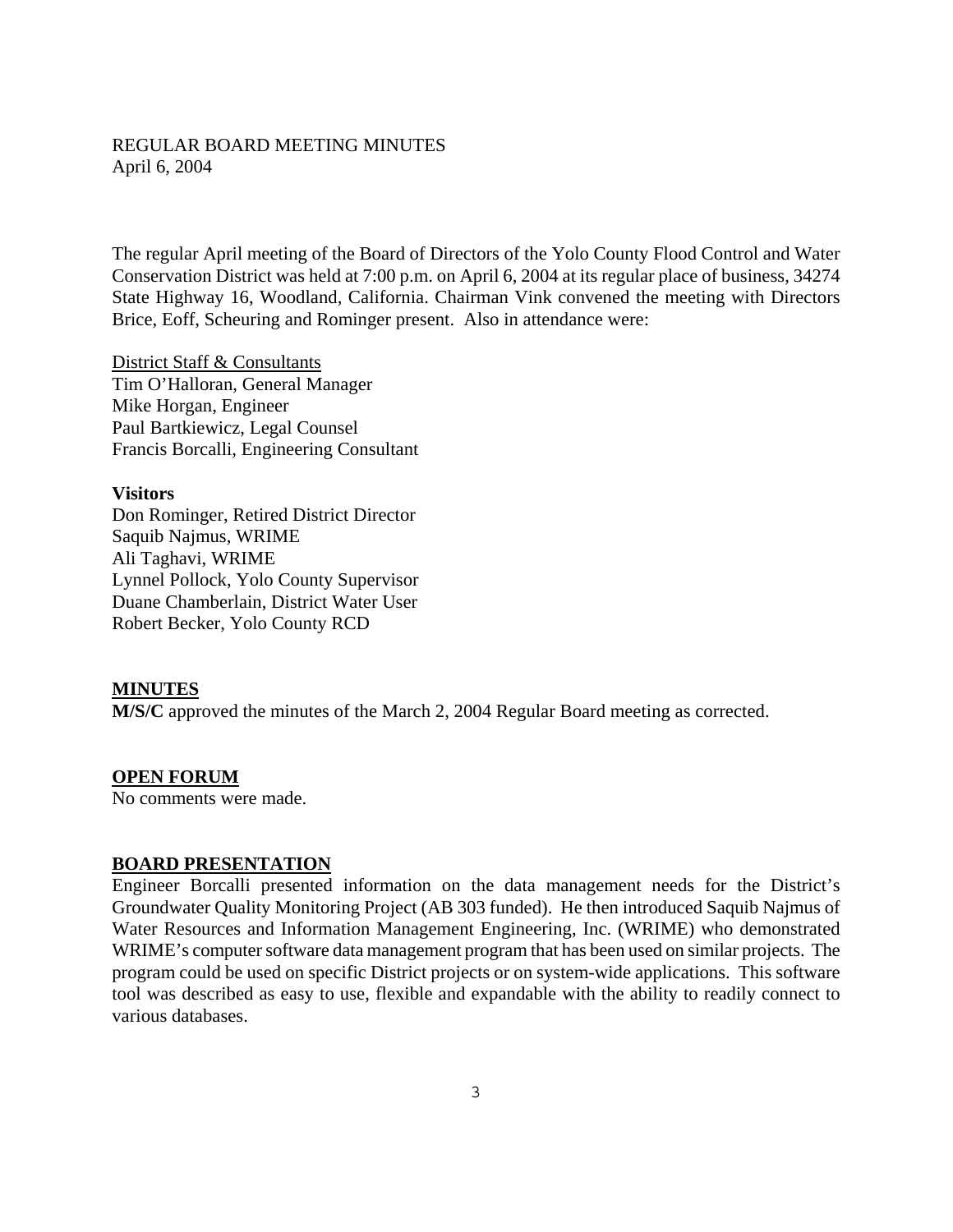## REGULAR BOARD MEETING MINUTES April 6, 2004

The regular April meeting of the Board of Directors of the Yolo County Flood Control and Water Conservation District was held at 7:00 p.m. on April 6, 2004 at its regular place of business, 34274 State Highway 16, Woodland, California. Chairman Vink convened the meeting with Directors Brice, Eoff, Scheuring and Rominger present. Also in attendance were:

District Staff & Consultants Tim O'Halloran, General Manager Mike Horgan, Engineer Paul Bartkiewicz, Legal Counsel Francis Borcalli, Engineering Consultant

#### **Visitors**

Don Rominger, Retired District Director Saquib Najmus, WRIME Ali Taghavi, WRIME Lynnel Pollock, Yolo County Supervisor Duane Chamberlain, District Water User Robert Becker, Yolo County RCD

#### **MINUTES**

**M/S/C** approved the minutes of the March 2, 2004 Regular Board meeting as corrected.

#### **OPEN FORUM**

No comments were made.

### **BOARD PRESENTATION**

Engineer Borcalli presented information on the data management needs for the District's Groundwater Quality Monitoring Project (AB 303 funded). He then introduced Saquib Najmus of Water Resources and Information Management Engineering, Inc. (WRIME) who demonstrated WRIME's computer software data management program that has been used on similar projects. The program could be used on specific District projects or on system-wide applications. This software tool was described as easy to use, flexible and expandable with the ability to readily connect to various databases.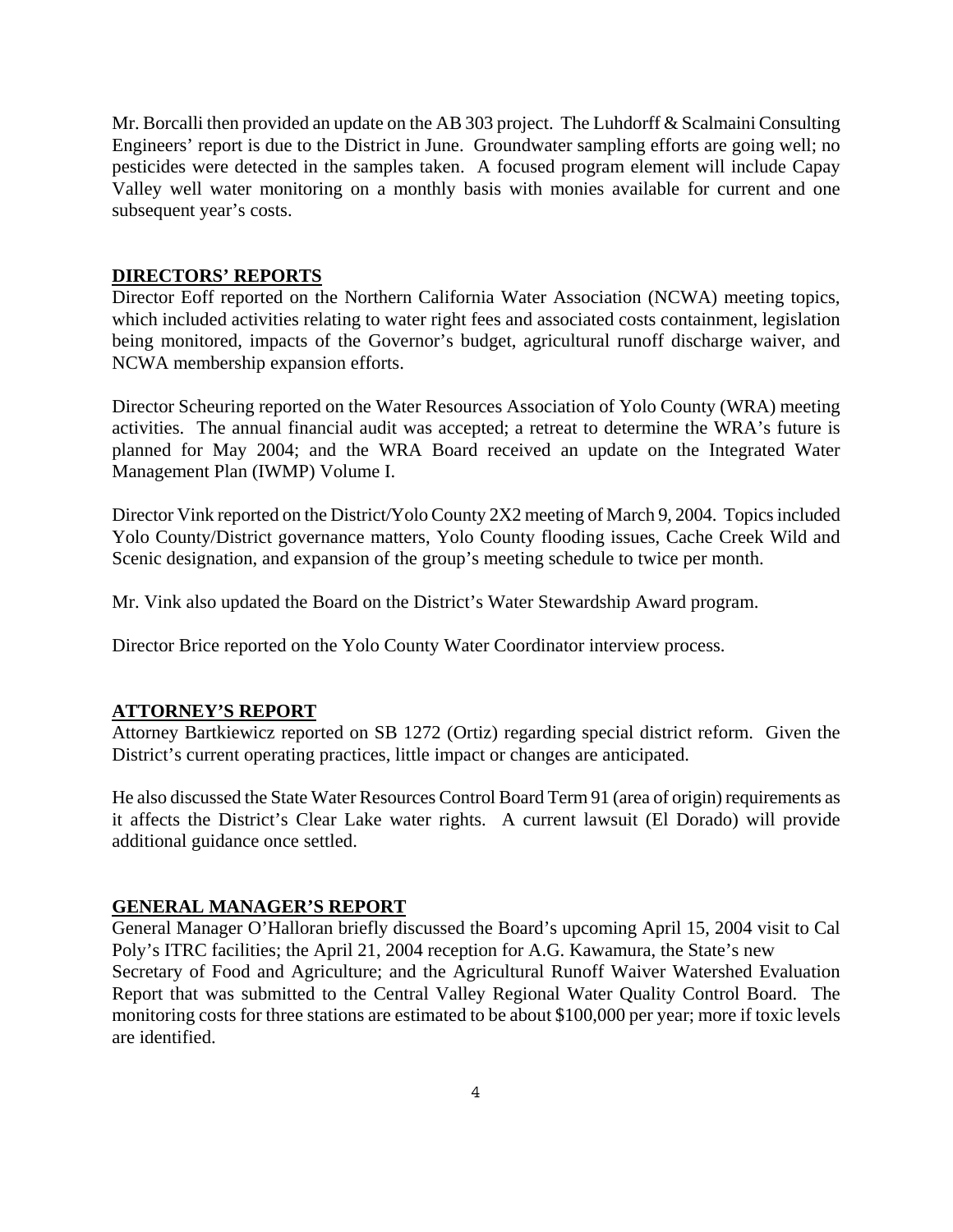Mr. Borcalli then provided an update on the AB 303 project. The Luhdorff & Scalmaini Consulting Engineers' report is due to the District in June. Groundwater sampling efforts are going well; no pesticides were detected in the samples taken. A focused program element will include Capay Valley well water monitoring on a monthly basis with monies available for current and one subsequent year's costs.

#### **DIRECTORS' REPORTS**

Director Eoff reported on the Northern California Water Association (NCWA) meeting topics, which included activities relating to water right fees and associated costs containment, legislation being monitored, impacts of the Governor's budget, agricultural runoff discharge waiver, and NCWA membership expansion efforts.

Director Scheuring reported on the Water Resources Association of Yolo County (WRA) meeting activities. The annual financial audit was accepted; a retreat to determine the WRA's future is planned for May 2004; and the WRA Board received an update on the Integrated Water Management Plan (IWMP) Volume I.

Director Vink reported on the District/Yolo County 2X2 meeting of March 9, 2004. Topics included Yolo County/District governance matters, Yolo County flooding issues, Cache Creek Wild and Scenic designation, and expansion of the group's meeting schedule to twice per month.

Mr. Vink also updated the Board on the District's Water Stewardship Award program.

Director Brice reported on the Yolo County Water Coordinator interview process.

#### **ATTORNEY'S REPORT**

Attorney Bartkiewicz reported on SB 1272 (Ortiz) regarding special district reform. Given the District's current operating practices, little impact or changes are anticipated.

He also discussed the State Water Resources Control Board Term 91 (area of origin) requirements as it affects the District's Clear Lake water rights. A current lawsuit (El Dorado) will provide additional guidance once settled.

#### **GENERAL MANAGER'S REPORT**

General Manager O'Halloran briefly discussed the Board's upcoming April 15, 2004 visit to Cal Poly's ITRC facilities; the April 21, 2004 reception for A.G. Kawamura, the State's new Secretary of Food and Agriculture; and the Agricultural Runoff Waiver Watershed Evaluation Report that was submitted to the Central Valley Regional Water Quality Control Board. The monitoring costs for three stations are estimated to be about \$100,000 per year; more if toxic levels are identified.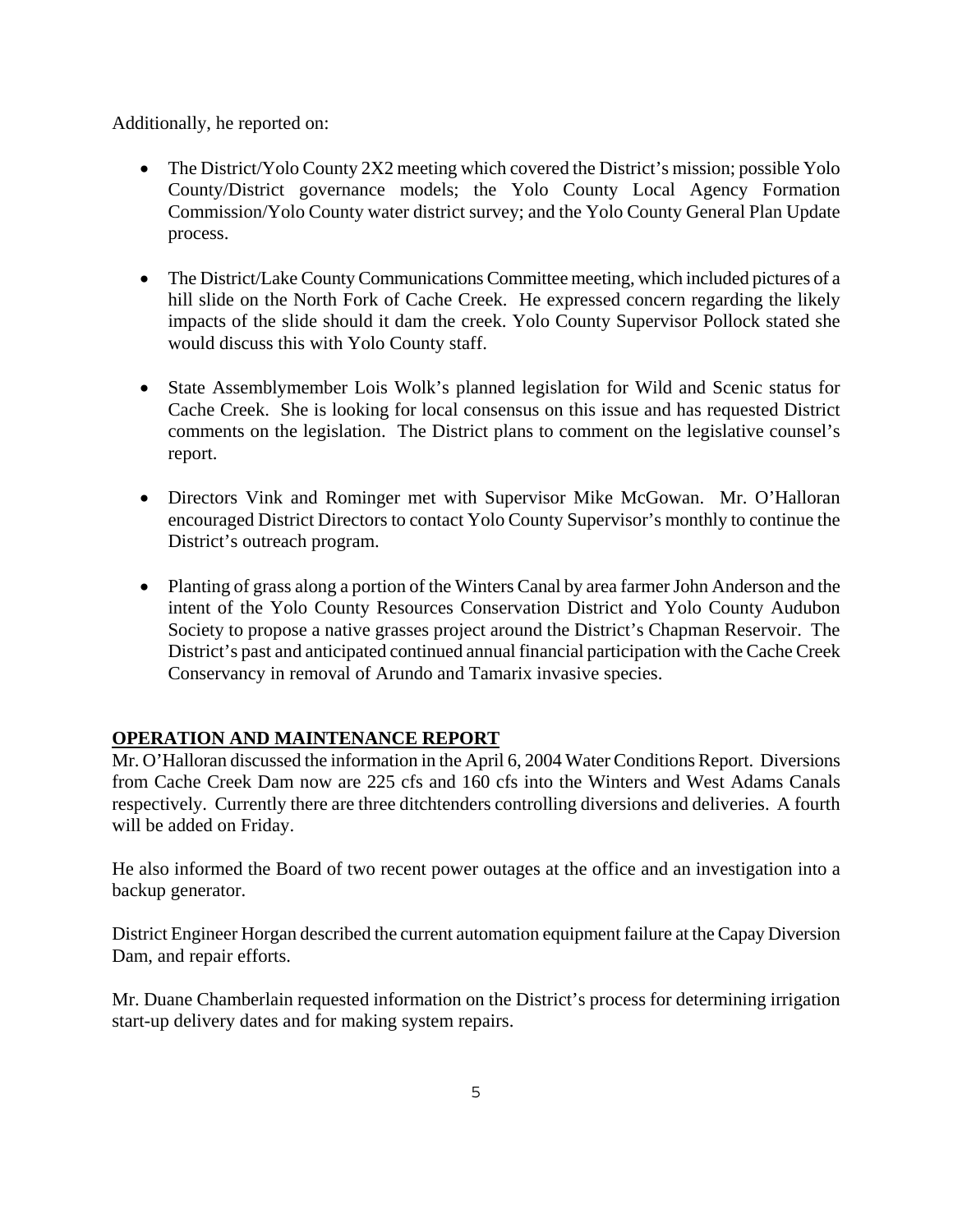Additionally, he reported on:

- The District/Yolo County 2X2 meeting which covered the District's mission; possible Yolo County/District governance models; the Yolo County Local Agency Formation Commission/Yolo County water district survey; and the Yolo County General Plan Update process.
- The District/Lake County Communications Committee meeting, which included pictures of a hill slide on the North Fork of Cache Creek. He expressed concern regarding the likely impacts of the slide should it dam the creek. Yolo County Supervisor Pollock stated she would discuss this with Yolo County staff.
- State Assemblymember Lois Wolk's planned legislation for Wild and Scenic status for Cache Creek. She is looking for local consensus on this issue and has requested District comments on the legislation. The District plans to comment on the legislative counsel's report.
- Directors Vink and Rominger met with Supervisor Mike McGowan. Mr. O'Halloran encouraged District Directors to contact Yolo County Supervisor's monthly to continue the District's outreach program.
- Planting of grass along a portion of the Winters Canal by area farmer John Anderson and the intent of the Yolo County Resources Conservation District and Yolo County Audubon Society to propose a native grasses project around the District's Chapman Reservoir. The District's past and anticipated continued annual financial participation with the Cache Creek Conservancy in removal of Arundo and Tamarix invasive species.

# **OPERATION AND MAINTENANCE REPORT**

Mr. O'Halloran discussed the information in the April 6, 2004 Water Conditions Report. Diversions from Cache Creek Dam now are 225 cfs and 160 cfs into the Winters and West Adams Canals respectively. Currently there are three ditchtenders controlling diversions and deliveries. A fourth will be added on Friday.

He also informed the Board of two recent power outages at the office and an investigation into a backup generator.

District Engineer Horgan described the current automation equipment failure at the Capay Diversion Dam, and repair efforts.

Mr. Duane Chamberlain requested information on the District's process for determining irrigation start-up delivery dates and for making system repairs.